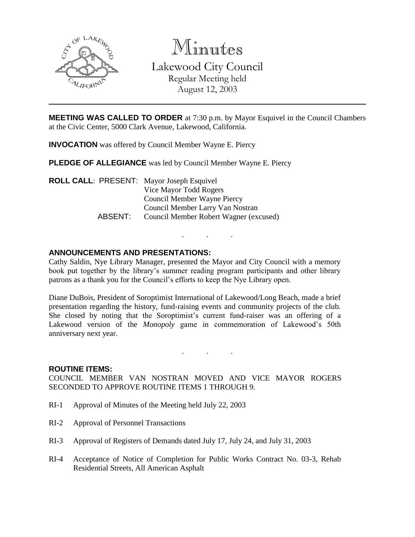

Minutes Lakewood City Council Regular Meeting held

August 12, 2003

**MEETING WAS CALLED TO ORDER** at 7:30 p.m. by Mayor Esquivel in the Council Chambers at the Civic Center, 5000 Clark Avenue, Lakewood, California.

**INVOCATION** was offered by Council Member Wayne E. Piercy

**PLEDGE OF ALLEGIANCE** was led by Council Member Wayne E. Piercy

**ROLL CALL**: PRESENT: Mayor Joseph Esquivel Vice Mayor Todd Rogers Council Member Wayne Piercy Council Member Larry Van Nostran ABSENT: Council Member Robert Wagner (excused)

# **ANNOUNCEMENTS AND PRESENTATIONS:**

Cathy Saldin, Nye Library Manager, presented the Mayor and City Council with a memory book put together by the library's summer reading program participants and other library patrons as a thank you for the Council's efforts to keep the Nye Library open.

. . .

Diane DuBois, President of Soroptimist International of Lakewood/Long Beach, made a brief presentation regarding the history, fund-raising events and community projects of the club. She closed by noting that the Soroptimist's current fund-raiser was an offering of a Lakewood version of the *Monopoly* game in commemoration of Lakewood's 50th anniversary next year.

#### **ROUTINE ITEMS:**

COUNCIL MEMBER VAN NOSTRAN MOVED AND VICE MAYOR ROGERS SECONDED TO APPROVE ROUTINE ITEMS 1 THROUGH 9.

. . .

- RI-1 Approval of Minutes of the Meeting held July 22, 2003
- RI-2 Approval of Personnel Transactions
- RI-3 Approval of Registers of Demands dated July 17, July 24, and July 31, 2003
- RI-4 Acceptance of Notice of Completion for Public Works Contract No. 03-3, Rehab Residential Streets, All American Asphalt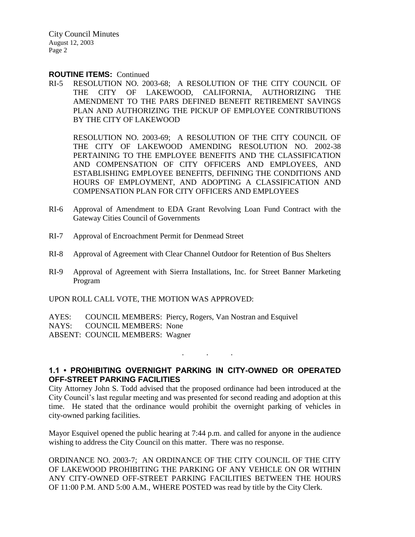#### **ROUTINE ITEMS:** Continued

RI-5 RESOLUTION NO. 2003-68; A RESOLUTION OF THE CITY COUNCIL OF THE CITY OF LAKEWOOD, CALIFORNIA, AUTHORIZING THE AMENDMENT TO THE PARS DEFINED BENEFIT RETIREMENT SAVINGS PLAN AND AUTHORIZING THE PICKUP OF EMPLOYEE CONTRIBUTIONS BY THE CITY OF LAKEWOOD

RESOLUTION NO. 2003-69; A RESOLUTION OF THE CITY COUNCIL OF THE CITY OF LAKEWOOD AMENDING RESOLUTION NO. 2002-38 PERTAINING TO THE EMPLOYEE BENEFITS AND THE CLASSIFICATION AND COMPENSATION OF CITY OFFICERS AND EMPLOYEES, AND ESTABLISHING EMPLOYEE BENEFITS, DEFINING THE CONDITIONS AND HOURS OF EMPLOYMENT, AND ADOPTING A CLASSIFICATION AND COMPENSATION PLAN FOR CITY OFFICERS AND EMPLOYEES

- RI-6 Approval of Amendment to EDA Grant Revolving Loan Fund Contract with the Gateway Cities Council of Governments
- RI-7 Approval of Encroachment Permit for Denmead Street
- RI-8 Approval of Agreement with Clear Channel Outdoor for Retention of Bus Shelters
- RI-9 Approval of Agreement with Sierra Installations, Inc. for Street Banner Marketing Program

UPON ROLL CALL VOTE, THE MOTION WAS APPROVED:

AYES: COUNCIL MEMBERS: Piercy, Rogers, Van Nostran and Esquivel NAYS: COUNCIL MEMBERS: None ABSENT: COUNCIL MEMBERS: Wagner

## **1.1 • PROHIBITING OVERNIGHT PARKING IN CITY-OWNED OR OPERATED OFF-STREET PARKING FACILITIES**

. . .

City Attorney John S. Todd advised that the proposed ordinance had been introduced at the City Council's last regular meeting and was presented for second reading and adoption at this time. He stated that the ordinance would prohibit the overnight parking of vehicles in city-owned parking facilities.

Mayor Esquivel opened the public hearing at 7:44 p.m. and called for anyone in the audience wishing to address the City Council on this matter. There was no response.

ORDINANCE NO. 2003-7; AN ORDINANCE OF THE CITY COUNCIL OF THE CITY OF LAKEWOOD PROHIBITING THE PARKING OF ANY VEHICLE ON OR WITHIN ANY CITY-OWNED OFF-STREET PARKING FACILITIES BETWEEN THE HOURS OF 11:00 P.M. AND 5:00 A.M., WHERE POSTED was read by title by the City Clerk.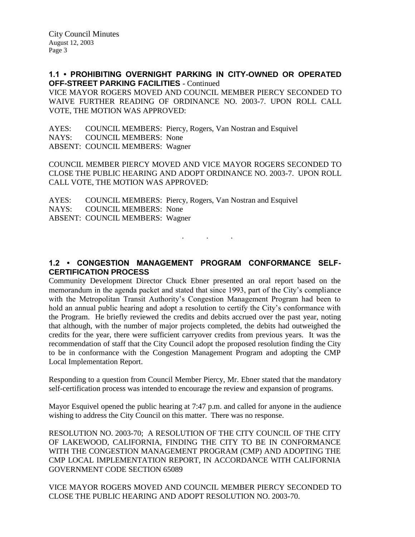**1.1 • PROHIBITING OVERNIGHT PARKING IN CITY-OWNED OR OPERATED OFF-STREET PARKING FACILITIES** - Continued

VICE MAYOR ROGERS MOVED AND COUNCIL MEMBER PIERCY SECONDED TO WAIVE FURTHER READING OF ORDINANCE NO. 2003-7. UPON ROLL CALL VOTE, THE MOTION WAS APPROVED:

AYES: COUNCIL MEMBERS: Piercy, Rogers, Van Nostran and Esquivel NAYS: COUNCIL MEMBERS: None ABSENT: COUNCIL MEMBERS: Wagner

COUNCIL MEMBER PIERCY MOVED AND VICE MAYOR ROGERS SECONDED TO CLOSE THE PUBLIC HEARING AND ADOPT ORDINANCE NO. 2003-7. UPON ROLL CALL VOTE, THE MOTION WAS APPROVED:

AYES: COUNCIL MEMBERS: Piercy, Rogers, Van Nostran and Esquivel NAYS: COUNCIL MEMBERS: None ABSENT: COUNCIL MEMBERS: Wagner

**1.2 • CONGESTION MANAGEMENT PROGRAM CONFORMANCE SELF-CERTIFICATION PROCESS**

. . .

Community Development Director Chuck Ebner presented an oral report based on the memorandum in the agenda packet and stated that since 1993, part of the City's compliance with the Metropolitan Transit Authority's Congestion Management Program had been to hold an annual public hearing and adopt a resolution to certify the City's conformance with the Program. He briefly reviewed the credits and debits accrued over the past year, noting that although, with the number of major projects completed, the debits had outweighed the credits for the year, there were sufficient carryover credits from previous years. It was the recommendation of staff that the City Council adopt the proposed resolution finding the City to be in conformance with the Congestion Management Program and adopting the CMP Local Implementation Report.

Responding to a question from Council Member Piercy, Mr. Ebner stated that the mandatory self-certification process was intended to encourage the review and expansion of programs.

Mayor Esquivel opened the public hearing at 7:47 p.m. and called for anyone in the audience wishing to address the City Council on this matter. There was no response.

RESOLUTION NO. 2003-70; A RESOLUTION OF THE CITY COUNCIL OF THE CITY OF LAKEWOOD, CALIFORNIA, FINDING THE CITY TO BE IN CONFORMANCE WITH THE CONGESTION MANAGEMENT PROGRAM (CMP) AND ADOPTING THE CMP LOCAL IMPLEMENTATION REPORT, IN ACCORDANCE WITH CALIFORNIA GOVERNMENT CODE SECTION 65089

VICE MAYOR ROGERS MOVED AND COUNCIL MEMBER PIERCY SECONDED TO CLOSE THE PUBLIC HEARING AND ADOPT RESOLUTION NO. 2003-70.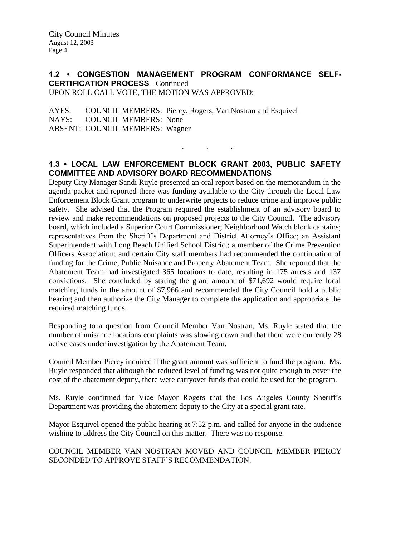#### **1.2 • CONGESTION MANAGEMENT PROGRAM CONFORMANCE SELF-CERTIFICATION PROCESS** - Continued UPON ROLL CALL VOTE, THE MOTION WAS APPROVED:

AYES: COUNCIL MEMBERS: Piercy, Rogers, Van Nostran and Esquivel NAYS: COUNCIL MEMBERS: None ABSENT: COUNCIL MEMBERS: Wagner

# **1.3 • LOCAL LAW ENFORCEMENT BLOCK GRANT 2003, PUBLIC SAFETY COMMITTEE AND ADVISORY BOARD RECOMMENDATIONS**

. . .

Deputy City Manager Sandi Ruyle presented an oral report based on the memorandum in the agenda packet and reported there was funding available to the City through the Local Law Enforcement Block Grant program to underwrite projects to reduce crime and improve public safety. She advised that the Program required the establishment of an advisory board to review and make recommendations on proposed projects to the City Council. The advisory board, which included a Superior Court Commissioner; Neighborhood Watch block captains; representatives from the Sheriff's Department and District Attorney's Office; an Assistant Superintendent with Long Beach Unified School District; a member of the Crime Prevention Officers Association; and certain City staff members had recommended the continuation of funding for the Crime, Public Nuisance and Property Abatement Team. She reported that the Abatement Team had investigated 365 locations to date, resulting in 175 arrests and 137 convictions. She concluded by stating the grant amount of \$71,692 would require local matching funds in the amount of \$7,966 and recommended the City Council hold a public hearing and then authorize the City Manager to complete the application and appropriate the required matching funds.

Responding to a question from Council Member Van Nostran, Ms. Ruyle stated that the number of nuisance locations complaints was slowing down and that there were currently 28 active cases under investigation by the Abatement Team.

Council Member Piercy inquired if the grant amount was sufficient to fund the program. Ms. Ruyle responded that although the reduced level of funding was not quite enough to cover the cost of the abatement deputy, there were carryover funds that could be used for the program.

Ms. Ruyle confirmed for Vice Mayor Rogers that the Los Angeles County Sheriff's Department was providing the abatement deputy to the City at a special grant rate.

Mayor Esquivel opened the public hearing at 7:52 p.m. and called for anyone in the audience wishing to address the City Council on this matter. There was no response.

COUNCIL MEMBER VAN NOSTRAN MOVED AND COUNCIL MEMBER PIERCY SECONDED TO APPROVE STAFF'S RECOMMENDATION.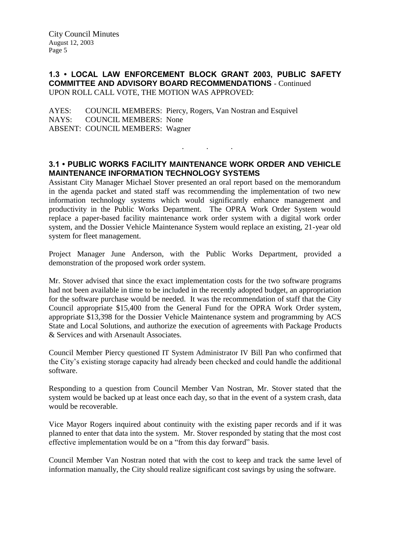### **1.3 • LOCAL LAW ENFORCEMENT BLOCK GRANT 2003, PUBLIC SAFETY COMMITTEE AND ADVISORY BOARD RECOMMENDATIONS** - Continued UPON ROLL CALL VOTE, THE MOTION WAS APPROVED:

AYES: COUNCIL MEMBERS: Piercy, Rogers, Van Nostran and Esquivel NAYS: COUNCIL MEMBERS: None ABSENT: COUNCIL MEMBERS: Wagner

# **3.1 • PUBLIC WORKS FACILITY MAINTENANCE WORK ORDER AND VEHICLE MAINTENANCE INFORMATION TECHNOLOGY SYSTEMS**

. . .

Assistant City Manager Michael Stover presented an oral report based on the memorandum in the agenda packet and stated staff was recommending the implementation of two new information technology systems which would significantly enhance management and productivity in the Public Works Department. The OPRA Work Order System would replace a paper-based facility maintenance work order system with a digital work order system, and the Dossier Vehicle Maintenance System would replace an existing, 21-year old system for fleet management.

Project Manager June Anderson, with the Public Works Department, provided a demonstration of the proposed work order system.

Mr. Stover advised that since the exact implementation costs for the two software programs had not been available in time to be included in the recently adopted budget, an appropriation for the software purchase would be needed. It was the recommendation of staff that the City Council appropriate \$15,400 from the General Fund for the OPRA Work Order system, appropriate \$13,398 for the Dossier Vehicle Maintenance system and programming by ACS State and Local Solutions, and authorize the execution of agreements with Package Products & Services and with Arsenault Associates.

Council Member Piercy questioned IT System Administrator IV Bill Pan who confirmed that the City's existing storage capacity had already been checked and could handle the additional software.

Responding to a question from Council Member Van Nostran, Mr. Stover stated that the system would be backed up at least once each day, so that in the event of a system crash, data would be recoverable.

Vice Mayor Rogers inquired about continuity with the existing paper records and if it was planned to enter that data into the system. Mr. Stover responded by stating that the most cost effective implementation would be on a "from this day forward" basis.

Council Member Van Nostran noted that with the cost to keep and track the same level of information manually, the City should realize significant cost savings by using the software.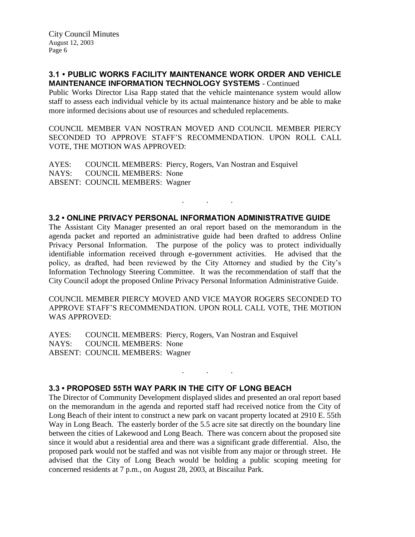#### **3.1 • PUBLIC WORKS FACILITY MAINTENANCE WORK ORDER AND VEHICLE MAINTENANCE INFORMATION TECHNOLOGY SYSTEMS** - Continued

Public Works Director Lisa Rapp stated that the vehicle maintenance system would allow staff to assess each individual vehicle by its actual maintenance history and be able to make more informed decisions about use of resources and scheduled replacements.

COUNCIL MEMBER VAN NOSTRAN MOVED AND COUNCIL MEMBER PIERCY SECONDED TO APPROVE STAFF'S RECOMMENDATION. UPON ROLL CALL VOTE, THE MOTION WAS APPROVED:

AYES: COUNCIL MEMBERS: Piercy, Rogers, Van Nostran and Esquivel NAYS: COUNCIL MEMBERS: None ABSENT: COUNCIL MEMBERS: Wagner

### **3.2 • ONLINE PRIVACY PERSONAL INFORMATION ADMINISTRATIVE GUIDE**

. . .

The Assistant City Manager presented an oral report based on the memorandum in the agenda packet and reported an administrative guide had been drafted to address Online Privacy Personal Information. The purpose of the policy was to protect individually identifiable information received through e-government activities. He advised that the policy, as drafted, had been reviewed by the City Attorney and studied by the City's Information Technology Steering Committee. It was the recommendation of staff that the City Council adopt the proposed Online Privacy Personal Information Administrative Guide.

COUNCIL MEMBER PIERCY MOVED AND VICE MAYOR ROGERS SECONDED TO APPROVE STAFF'S RECOMMENDATION. UPON ROLL CALL VOTE, THE MOTION WAS APPROVED:

AYES: COUNCIL MEMBERS: Piercy, Rogers, Van Nostran and Esquivel NAYS: COUNCIL MEMBERS: None ABSENT: COUNCIL MEMBERS: Wagner

## **3.3 • PROPOSED 55TH WAY PARK IN THE CITY OF LONG BEACH**

The Director of Community Development displayed slides and presented an oral report based on the memorandum in the agenda and reported staff had received notice from the City of Long Beach of their intent to construct a new park on vacant property located at 2910 E. 55th Way in Long Beach. The easterly border of the 5.5 acre site sat directly on the boundary line between the cities of Lakewood and Long Beach. There was concern about the proposed site since it would abut a residential area and there was a significant grade differential. Also, the proposed park would not be staffed and was not visible from any major or through street. He advised that the City of Long Beach would be holding a public scoping meeting for concerned residents at 7 p.m., on August 28, 2003, at Biscailuz Park.

. . .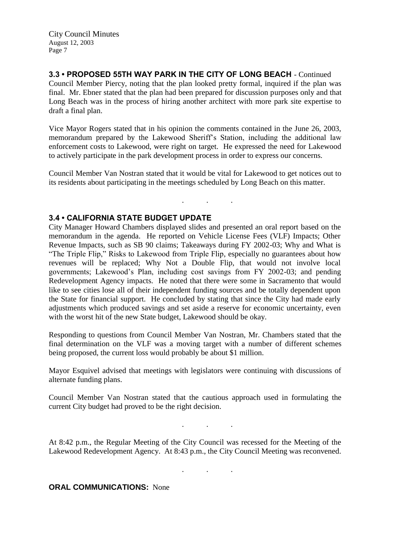**3.3 • PROPOSED 55TH WAY PARK IN THE CITY OF LONG BEACH** - Continued Council Member Piercy, noting that the plan looked pretty formal, inquired if the plan was final. Mr. Ebner stated that the plan had been prepared for discussion purposes only and that Long Beach was in the process of hiring another architect with more park site expertise to draft a final plan.

Vice Mayor Rogers stated that in his opinion the comments contained in the June 26, 2003, memorandum prepared by the Lakewood Sheriff's Station, including the additional law enforcement costs to Lakewood, were right on target. He expressed the need for Lakewood to actively participate in the park development process in order to express our concerns.

Council Member Van Nostran stated that it would be vital for Lakewood to get notices out to its residents about participating in the meetings scheduled by Long Beach on this matter.

. . .

## **3.4 • CALIFORNIA STATE BUDGET UPDATE**

City Manager Howard Chambers displayed slides and presented an oral report based on the memorandum in the agenda. He reported on Vehicle License Fees (VLF) Impacts; Other Revenue Impacts, such as SB 90 claims; Takeaways during FY 2002-03; Why and What is "The Triple Flip," Risks to Lakewood from Triple Flip, especially no guarantees about how revenues will be replaced; Why Not a Double Flip, that would not involve local governments; Lakewood's Plan, including cost savings from FY 2002-03; and pending Redevelopment Agency impacts. He noted that there were some in Sacramento that would like to see cities lose all of their independent funding sources and be totally dependent upon the State for financial support. He concluded by stating that since the City had made early adjustments which produced savings and set aside a reserve for economic uncertainty, even with the worst hit of the new State budget, Lakewood should be okay.

Responding to questions from Council Member Van Nostran, Mr. Chambers stated that the final determination on the VLF was a moving target with a number of different schemes being proposed, the current loss would probably be about \$1 million.

Mayor Esquivel advised that meetings with legislators were continuing with discussions of alternate funding plans.

Council Member Van Nostran stated that the cautious approach used in formulating the current City budget had proved to be the right decision.

. . .

. . .

At 8:42 p.m., the Regular Meeting of the City Council was recessed for the Meeting of the Lakewood Redevelopment Agency. At 8:43 p.m., the City Council Meeting was reconvened.